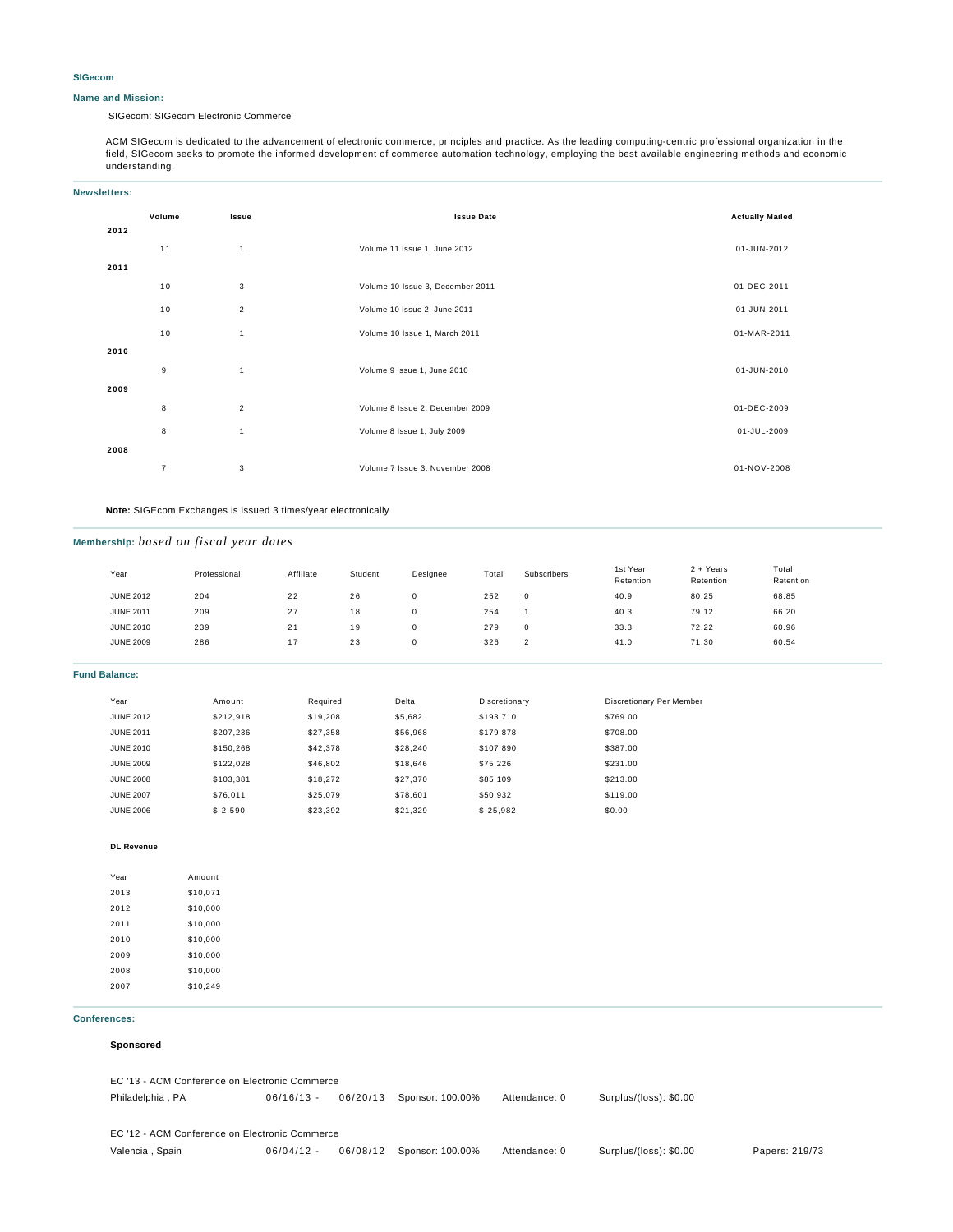#### **SIGecom**

#### **Name and Mission:**

SIGecom: SIGecom Electronic Commerce

ACM SIGecom is dedicated to the advancement of electronic commerce, principles and practice. As the leading computing-centric professional organization in the field, SIGecom seeks to promote the informed development of commerce automation technology, employing the best available engineering methods and economic understanding.

| <b>Newsletters:</b> |                |                         |                                  |                        |  |  |
|---------------------|----------------|-------------------------|----------------------------------|------------------------|--|--|
|                     | Volume         | Issue                   | <b>Issue Date</b>                | <b>Actually Mailed</b> |  |  |
| 2012                |                |                         |                                  |                        |  |  |
|                     | 11             | 1                       | Volume 11 Issue 1, June 2012     | 01-JUN-2012            |  |  |
| 2011                |                |                         |                                  |                        |  |  |
|                     | 10             | 3                       | Volume 10 Issue 3, December 2011 | 01-DEC-2011            |  |  |
|                     | 10             | $\overline{\mathbf{c}}$ | Volume 10 Issue 2, June 2011     | 01-JUN-2011            |  |  |
|                     | 10             | $\overline{1}$          | Volume 10 Issue 1, March 2011    | 01-MAR-2011            |  |  |
| 2010                |                |                         |                                  |                        |  |  |
|                     | $\mathsf g$    | $\mathbf{1}$            | Volume 9 Issue 1, June 2010      | 01-JUN-2010            |  |  |
| 2009                |                |                         |                                  |                        |  |  |
|                     | 8              | $\overline{2}$          | Volume 8 Issue 2, December 2009  | 01-DEC-2009            |  |  |
|                     | 8              | $\mathbf{1}$            | Volume 8 Issue 1, July 2009      | 01-JUL-2009            |  |  |
| 2008                |                |                         |                                  |                        |  |  |
|                     | $\overline{7}$ | 3                       | Volume 7 Issue 3, November 2008  | 01-NOV-2008            |  |  |

**Note:** SIGEcom Exchanges is issued 3 times/year electronically

### **Membership:** *based on fiscal year dates*

| Year             | Professional | Affiliate | Student | Designee | Total | Subscribers | 1st Year<br>Retention | $2 + Years$<br>Retention | Total<br>Retention |
|------------------|--------------|-----------|---------|----------|-------|-------------|-----------------------|--------------------------|--------------------|
| <b>JUNE 2012</b> | 204          | 22        | 26      | 0        | 252   | 0           | 40.9                  | 80.25                    | 68.85              |
| <b>JUNE 2011</b> | 209          | 27        | 18      | O        | 254   |             | 40.3                  | 79.12                    | 66.20              |
| <b>JUNE 2010</b> | 239          | 21        | 19      | O        | 279   | 0           | 33.3                  | 72.22                    | 60.96              |
| <b>JUNE 2009</b> | 286          | 17        | 23      | 0        | 326   | $\sim$<br>∠ | 41.0                  | 71.30                    | 60.54              |
|                  |              |           |         |          |       |             |                       |                          |                    |

**Fund Balance:**

| Year             | Amount    | Required | Delta    | Discretionary | Discretionary Per Member |
|------------------|-----------|----------|----------|---------------|--------------------------|
| <b>JUNE 2012</b> | \$212,918 | \$19,208 | \$5,682  | \$193.710     | \$769.00                 |
| <b>JUNE 2011</b> | \$207.236 | \$27,358 | \$56.968 | \$179,878     | \$708.00                 |
| <b>JUNE 2010</b> | \$150.268 | \$42,378 | \$28,240 | \$107,890     | \$387.00                 |
| <b>JUNE 2009</b> | \$122,028 | \$46,802 | \$18,646 | \$75.226      | \$231.00                 |
| <b>JUNE 2008</b> | \$103.381 | \$18,272 | \$27.370 | \$85,109      | \$213.00                 |
| <b>JUNE 2007</b> | \$76.011  | \$25.079 | \$78,601 | \$50.932      | \$119.00                 |
| <b>JUNE 2006</b> | $$-2.590$ | \$23.392 | \$21.329 | $$-25.982$    | \$0.00                   |

#### **DL Revenue**

| Year | Amount   |
|------|----------|
| 2013 | \$10,071 |
| 2012 | \$10,000 |
| 2011 | \$10,000 |
| 2010 | \$10,000 |
| 2009 | \$10,000 |
| 2008 | \$10,000 |
| 2007 | \$10.249 |

#### **Conferences:**

#### **Sponsored**

EC '13 - ACM Conference on Electronic Commerce Philadelphia , PA 06/16/13 - 06/20/13 Sponsor: 100.00% Attendance: 0 Surplus/(loss): \$0.00 EC '12 - ACM Conference on Electronic Commerce Valencia , Spain 06/04/12 - 06/08/12 Sponsor: 100.00% Attendance: 0 Surplus/(loss): \$0.00 Papers: 219/73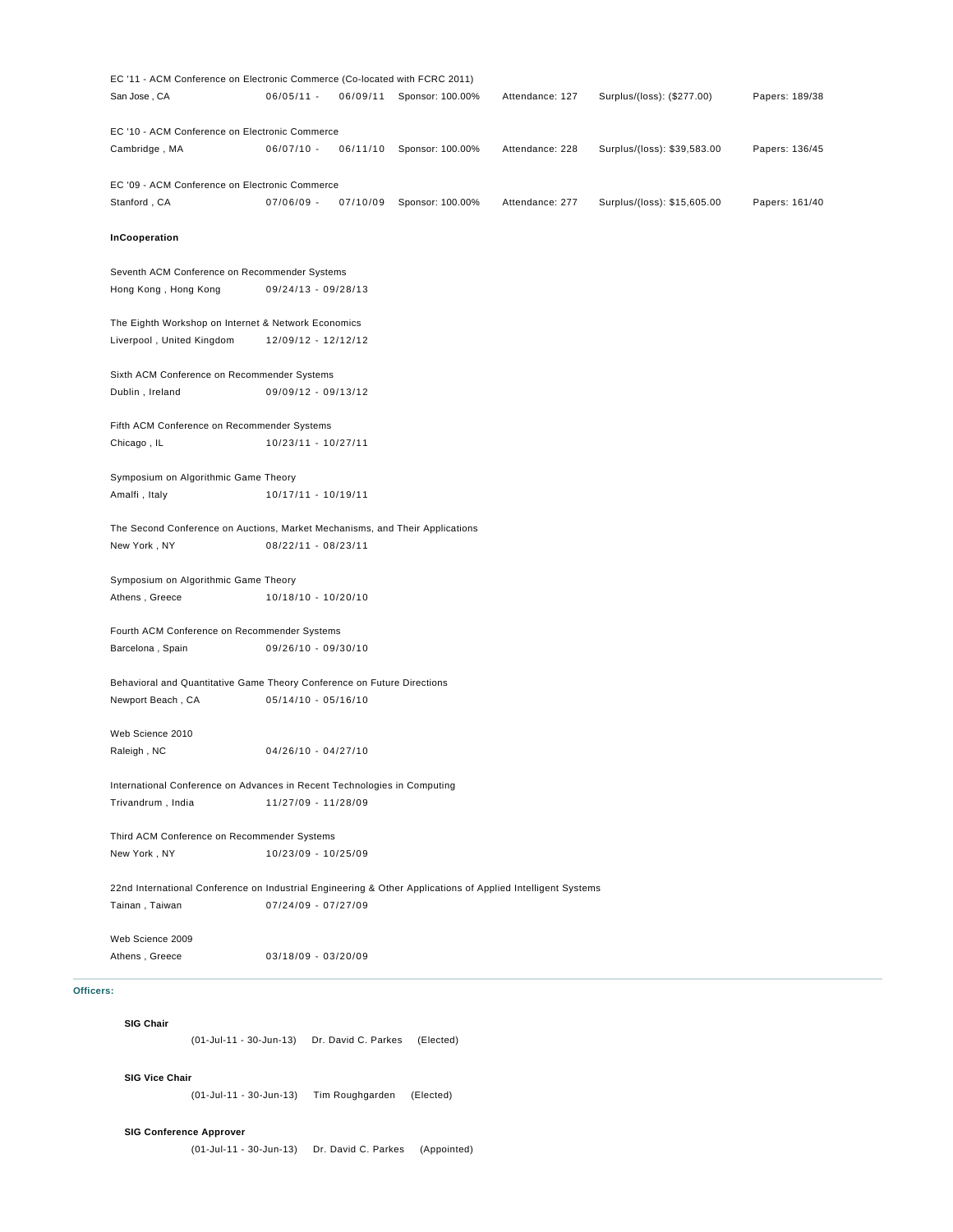| Web Science 2009                                               |                                                                                                             |                           |                 |                             |                |
|----------------------------------------------------------------|-------------------------------------------------------------------------------------------------------------|---------------------------|-----------------|-----------------------------|----------------|
| Tainan, Taiwan                                                 | 07/24/09 - 07/27/09                                                                                         |                           |                 |                             |                |
|                                                                | 22nd International Conference on Industrial Engineering & Other Applications of Applied Intelligent Systems |                           |                 |                             |                |
| New York, NY                                                   | 10/23/09 - 10/25/09                                                                                         |                           |                 |                             |                |
| Third ACM Conference on Recommender Systems                    |                                                                                                             |                           |                 |                             |                |
| Trivandrum, India                                              | 11/27/09 - 11/28/09                                                                                         |                           |                 |                             |                |
|                                                                | International Conference on Advances in Recent Technologies in Computing                                    |                           |                 |                             |                |
| Raleigh, NC                                                    | $04/26/10 - 04/27/10$                                                                                       |                           |                 |                             |                |
| Web Science 2010                                               |                                                                                                             |                           |                 |                             |                |
| Newport Beach, CA                                              | Behavioral and Quantitative Game Theory Conference on Future Directions<br>$05/14/10 - 05/16/10$            |                           |                 |                             |                |
| Barcelona, Spain                                               | 09/26/10 - 09/30/10                                                                                         |                           |                 |                             |                |
| Fourth ACM Conference on Recommender Systems                   |                                                                                                             |                           |                 |                             |                |
| Athens, Greece                                                 | 10/18/10 - 10/20/10                                                                                         |                           |                 |                             |                |
| Symposium on Algorithmic Game Theory                           |                                                                                                             |                           |                 |                             |                |
| New York, NY                                                   | 08/22/11 - 08/23/11                                                                                         |                           |                 |                             |                |
|                                                                | The Second Conference on Auctions, Market Mechanisms, and Their Applications                                |                           |                 |                             |                |
| Amalfi, Italy                                                  | 10/17/11 - 10/19/11                                                                                         |                           |                 |                             |                |
| Symposium on Algorithmic Game Theory                           |                                                                                                             |                           |                 |                             |                |
| Chicago, IL                                                    | 10/23/11 - 10/27/11                                                                                         |                           |                 |                             |                |
| Fifth ACM Conference on Recommender Systems                    |                                                                                                             |                           |                 |                             |                |
| Sixth ACM Conference on Recommender Systems<br>Dublin, Ireland | 09/09/12 - 09/13/12                                                                                         |                           |                 |                             |                |
| Liverpool, United Kingdom                                      |                                                                                                             |                           |                 |                             |                |
| The Eighth Workshop on Internet & Network Economics            | 12/09/12 - 12/12/12                                                                                         |                           |                 |                             |                |
| Hong Kong, Hong Kong                                           | 09/24/13 - 09/28/13                                                                                         |                           |                 |                             |                |
| Seventh ACM Conference on Recommender Systems                  |                                                                                                             |                           |                 |                             |                |
| InCooperation                                                  |                                                                                                             |                           |                 |                             |                |
| Stanford, CA                                                   | $07/06/09 -$                                                                                                | 07/10/09 Sponsor: 100.00% | Attendance: 277 | Surplus/(loss): \$15,605.00 | Papers: 161/40 |
| EC '09 - ACM Conference on Electronic Commerce                 |                                                                                                             |                           |                 |                             |                |
| Cambridge, MA                                                  | $06/07/10 -$<br>06/11/10                                                                                    | Sponsor: 100.00%          | Attendance: 228 | Surplus/(loss): \$39,583.00 | Papers: 136/45 |
| EC '10 - ACM Conference on Electronic Commerce                 |                                                                                                             |                           |                 |                             |                |

## **SIG Chair**

(01-Jul-11 - 30-Jun-13) Dr. David C. Parkes (Elected)

# **SIG Vice Chair**

(01-Jul-11 - 30-Jun-13) Tim Roughgarden (Elected)

# **SIG Conference Approver**

(01-Jul-11 - 30-Jun-13) Dr. David C. Parkes (Appointed)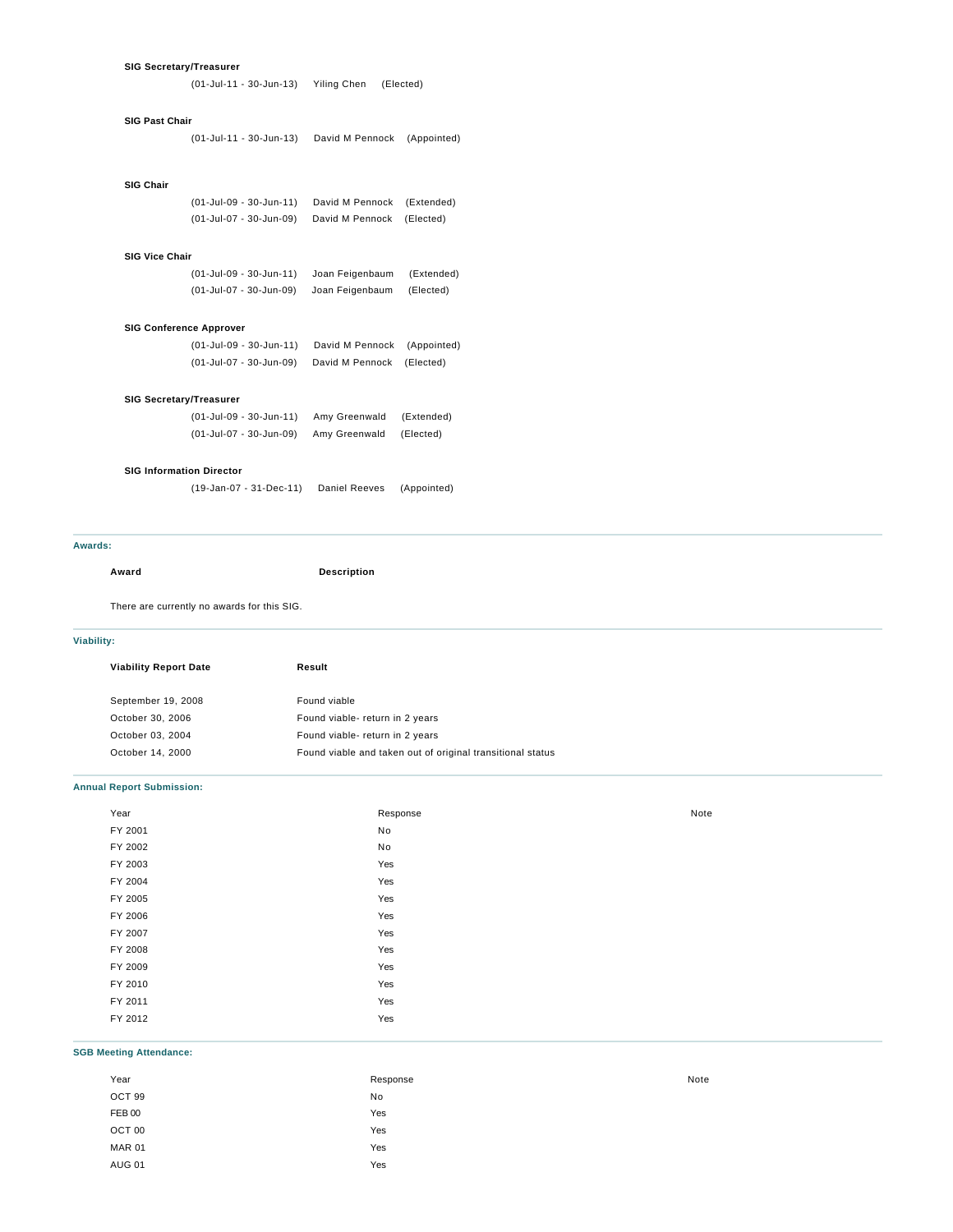### **SIG Secretary/Treasurer**

(01-Jul-11 - 30-Jun-13) Yiling Chen (Elected)

## **SIG Past Chair**

(01-Jul-11 - 30-Jun-13) David M Pennock (Appointed)

### **SIG Chair**

(01-Jul-09 - 30-Jun-11) David M Pennock (Extended) (01-Jul-07 - 30-Jun-09) David M Pennock (Elected)

## **SIG Vice Chair**

(01-Jul-09 - 30-Jun-11) Joan Feigenbaum (Extended) (01-Jul-07 - 30-Jun-09) Joan Feigenbaum (Elected)

#### **SIG Conference Approver**

| (01-Jul-09 - 30-Jun-11) | David M Pennock (Appointed) |  |
|-------------------------|-----------------------------|--|
| (01-Jul-07 - 30-Jun-09) | David M Pennock (Elected)   |  |

#### **SIG Secretary/Treasurer**

| (01-Jul-09 - 30-Jun-11) | Amy Greenwald | (Extended) |
|-------------------------|---------------|------------|
| (01-Jul-07 - 30-Jun-09) | Amy Greenwald | (Elected)  |

## **SIG Information Director**

(19-Jan-07 - 31-Dec-11) Daniel Reeves (Appointed)

#### **Awards:**

#### **Award Description**

There are currently no awards for this SIG.

## **Viability:**

| <b>Viability Report Date</b> | Result                                                     |  |  |
|------------------------------|------------------------------------------------------------|--|--|
|                              |                                                            |  |  |
| September 19, 2008           | Found viable                                               |  |  |
| October 30, 2006             | Found viable-return in 2 years                             |  |  |
| October 03, 2004             | Found viable-return in 2 years                             |  |  |
| October 14, 2000             | Found viable and taken out of original transitional status |  |  |

# **Annual Report Submission:**

| Year    | Response | Note |
|---------|----------|------|
| FY 2001 | No       |      |
| FY 2002 | No       |      |
| FY 2003 | Yes      |      |
| FY 2004 | Yes      |      |
| FY 2005 | Yes      |      |
| FY 2006 | Yes      |      |
| FY 2007 | Yes      |      |
| FY 2008 | Yes      |      |
| FY 2009 | Yes      |      |
| FY 2010 | Yes      |      |
| FY 2011 | Yes      |      |
| FY 2012 | Yes      |      |

## **SGB Meeting Attendance:**

| Year          | Response | Note |
|---------------|----------|------|
| OCT 99        | No       |      |
| FEB 00        | Yes      |      |
| OCT 00        | Yes      |      |
| <b>MAR 01</b> | Yes      |      |
| <b>AUG 01</b> | Yes      |      |